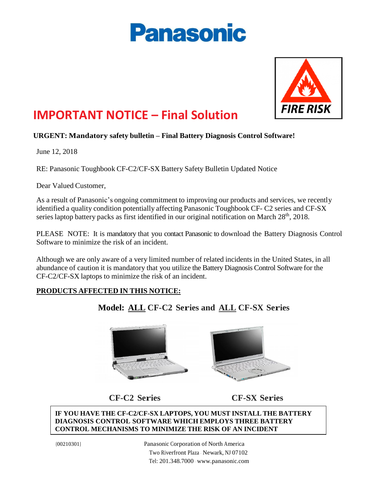# **Panasonic**



## **IMPORTANT NOTICE – Final Solution**

#### **URGENT: Mandatory safety bulletin – Final Battery Diagnosis Control Software!**

June 12, 2018

RE: Panasonic Toughbook CF-C2/CF-SX Battery Safety Bulletin Updated Notice

Dear Valued Customer,

As a result of Panasonic's ongoing commitment to improving our products and services, we recently identified a quality condition potentially affecting Panasonic Toughbook CF- C2 series and CF-SX series laptop battery packs as first identified in our original notification on March  $28<sup>th</sup>$ ,  $2018$ .

PLEASE NOTE: It is mandatory that you contact Panasonic to download the Battery Diagnosis Control Software to minimize the risk of an incident.

Although we are only aware of a very limited number of related incidents in the United States, in all abundance of caution it is mandatory that you utilize the Battery Diagnosis Control Software for the CF-C2/CF-SX laptops to minimize the risk of an incident.

#### **PRODUCTS AFFECTED IN THIS NOTICE:**

### **Model: ALL CF-C2 Series and ALL CF-SX Series**



 **CF-C2 Series CF-SX Series**

**IF YOU HAVE THE CF-C2/CF-SX LAPTOPS, YOU MUST INSTALL THE BATTERY DIAGNOSIS CONTROL SOFTWARE WHICH EMPLOYS THREE BATTERY CONTROL MECHANISMS TO MINIMIZE THE RISK OF AN INCIDENT**

{00210301}

Panasonic Corporation of North America Two Riverfront Plaza · Newark, NJ 07102 Tel: 201.348.7000 · [www.panasonic.com](http://www.panasonic.com/)